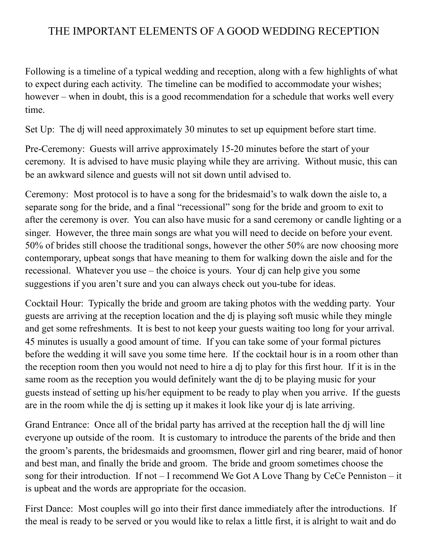## THE IMPORTANT ELEMENTS OF A GOOD WEDDING RECEPTION

Following is a timeline of a typical wedding and reception, along with a few highlights of what to expect during each activity. The timeline can be modified to accommodate your wishes; however – when in doubt, this is a good recommendation for a schedule that works well every time.

Set Up: The dj will need approximately 30 minutes to set up equipment before start time.

Pre-Ceremony: Guests will arrive approximately 15-20 minutes before the start of your ceremony. It is advised to have music playing while they are arriving. Without music, this can be an awkward silence and guests will not sit down until advised to.

Ceremony: Most protocol is to have a song for the bridesmaid's to walk down the aisle to, a separate song for the bride, and a final "recessional" song for the bride and groom to exit to after the ceremony is over. You can also have music for a sand ceremony or candle lighting or a singer. However, the three main songs are what you will need to decide on before your event. 50% of brides still choose the traditional songs, however the other 50% are now choosing more contemporary, upbeat songs that have meaning to them for walking down the aisle and for the recessional. Whatever you use – the choice is yours. Your dj can help give you some suggestions if you aren't sure and you can always check out you-tube for ideas.

Cocktail Hour: Typically the bride and groom are taking photos with the wedding party. Your guests are arriving at the reception location and the dj is playing soft music while they mingle and get some refreshments. It is best to not keep your guests waiting too long for your arrival. 45 minutes is usually a good amount of time. If you can take some of your formal pictures before the wedding it will save you some time here. If the cocktail hour is in a room other than the reception room then you would not need to hire a dj to play for this first hour. If it is in the same room as the reception you would definitely want the dj to be playing music for your guests instead of setting up his/her equipment to be ready to play when you arrive. If the guests are in the room while the dj is setting up it makes it look like your dj is late arriving.

Grand Entrance: Once all of the bridal party has arrived at the reception hall the dj will line everyone up outside of the room. It is customary to introduce the parents of the bride and then the groom's parents, the bridesmaids and groomsmen, flower girl and ring bearer, maid of honor and best man, and finally the bride and groom. The bride and groom sometimes choose the song for their introduction. If not – I recommend We Got A Love Thang by CeCe Penniston – it is upbeat and the words are appropriate for the occasion.

First Dance: Most couples will go into their first dance immediately after the introductions. If the meal is ready to be served or you would like to relax a little first, it is alright to wait and do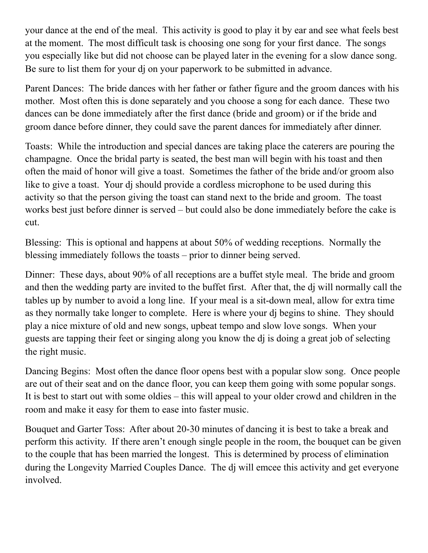your dance at the end of the meal. This activity is good to play it by ear and see what feels best at the moment. The most difficult task is choosing one song for your first dance. The songs you especially like but did not choose can be played later in the evening for a slow dance song. Be sure to list them for your dj on your paperwork to be submitted in advance.

Parent Dances: The bride dances with her father or father figure and the groom dances with his mother. Most often this is done separately and you choose a song for each dance. These two dances can be done immediately after the first dance (bride and groom) or if the bride and groom dance before dinner, they could save the parent dances for immediately after dinner.

Toasts: While the introduction and special dances are taking place the caterers are pouring the champagne. Once the bridal party is seated, the best man will begin with his toast and then often the maid of honor will give a toast. Sometimes the father of the bride and/or groom also like to give a toast. Your dj should provide a cordless microphone to be used during this activity so that the person giving the toast can stand next to the bride and groom. The toast works best just before dinner is served – but could also be done immediately before the cake is cut.

Blessing: This is optional and happens at about 50% of wedding receptions. Normally the blessing immediately follows the toasts – prior to dinner being served.

Dinner: These days, about 90% of all receptions are a buffet style meal. The bride and groom and then the wedding party are invited to the buffet first. After that, the dj will normally call the tables up by number to avoid a long line. If your meal is a sit-down meal, allow for extra time as they normally take longer to complete. Here is where your dj begins to shine. They should play a nice mixture of old and new songs, upbeat tempo and slow love songs. When your guests are tapping their feet or singing along you know the dj is doing a great job of selecting the right music.

Dancing Begins: Most often the dance floor opens best with a popular slow song. Once people are out of their seat and on the dance floor, you can keep them going with some popular songs. It is best to start out with some oldies – this will appeal to your older crowd and children in the room and make it easy for them to ease into faster music.

Bouquet and Garter Toss: After about 20-30 minutes of dancing it is best to take a break and perform this activity. If there aren't enough single people in the room, the bouquet can be given to the couple that has been married the longest. This is determined by process of elimination during the Longevity Married Couples Dance. The dj will emcee this activity and get everyone involved.